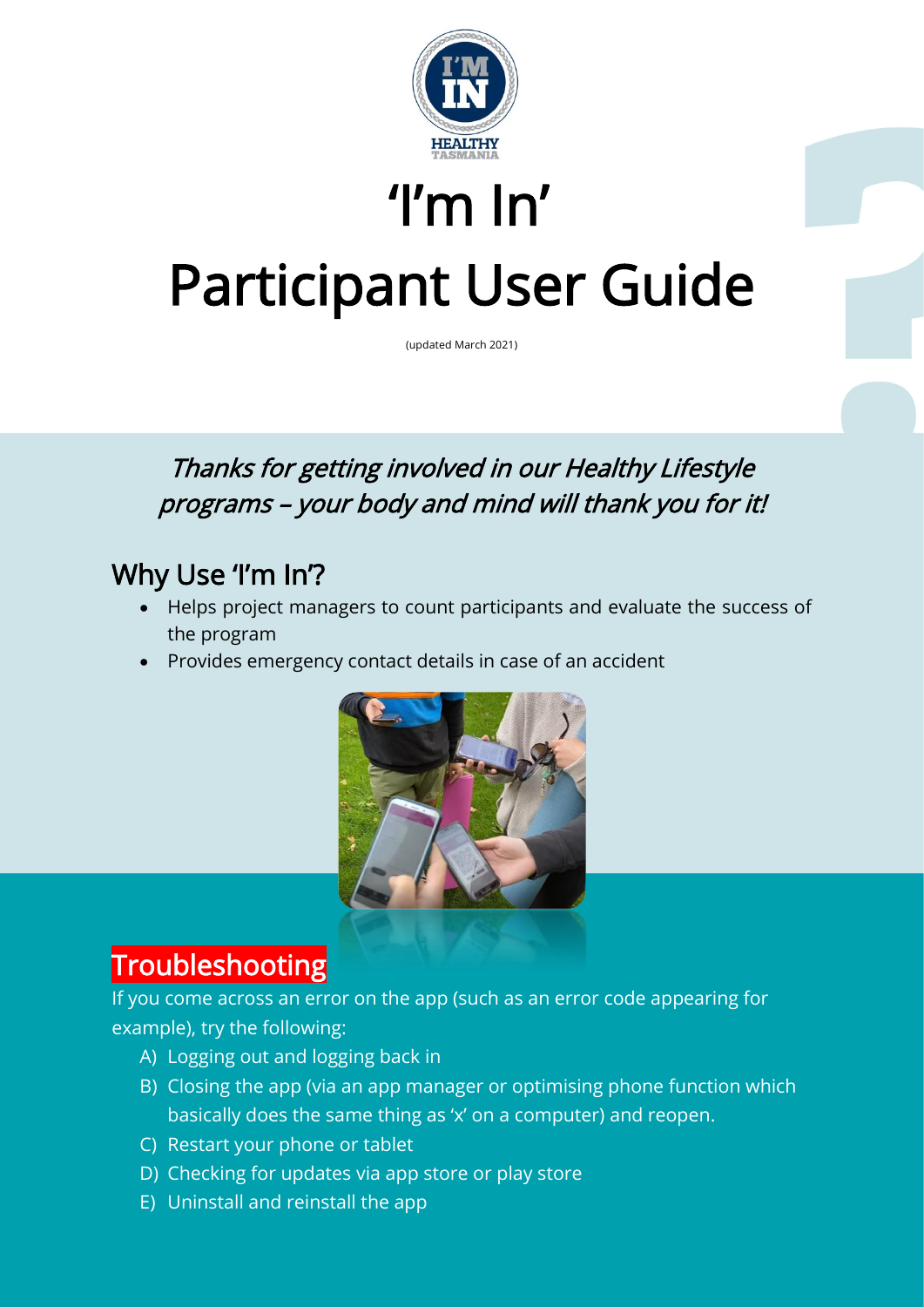

# 'I'm In' Participant User Guide

(updated March 2021)

#### Thanks for getting involved in our Healthy Lifestyle programs – your body and mind will thank you for it!

### Why Use 'I'm In'?

- Helps project managers to count participants and evaluate the success of the program
- Provides emergency contact details in case of an accident



#### **Troubleshooting**

l

If you come across an error on the app (such as an error code appearing for example), try the following:

- A) Logging out and logging back in
- B) Closing the app (via an app manager or optimising phone function which basically does the same thing as 'x' on a computer) and reopen.
- C) Restart your phone or tablet
- D) Checking for updates via app store or play store
- E) Uninstall and reinstall the app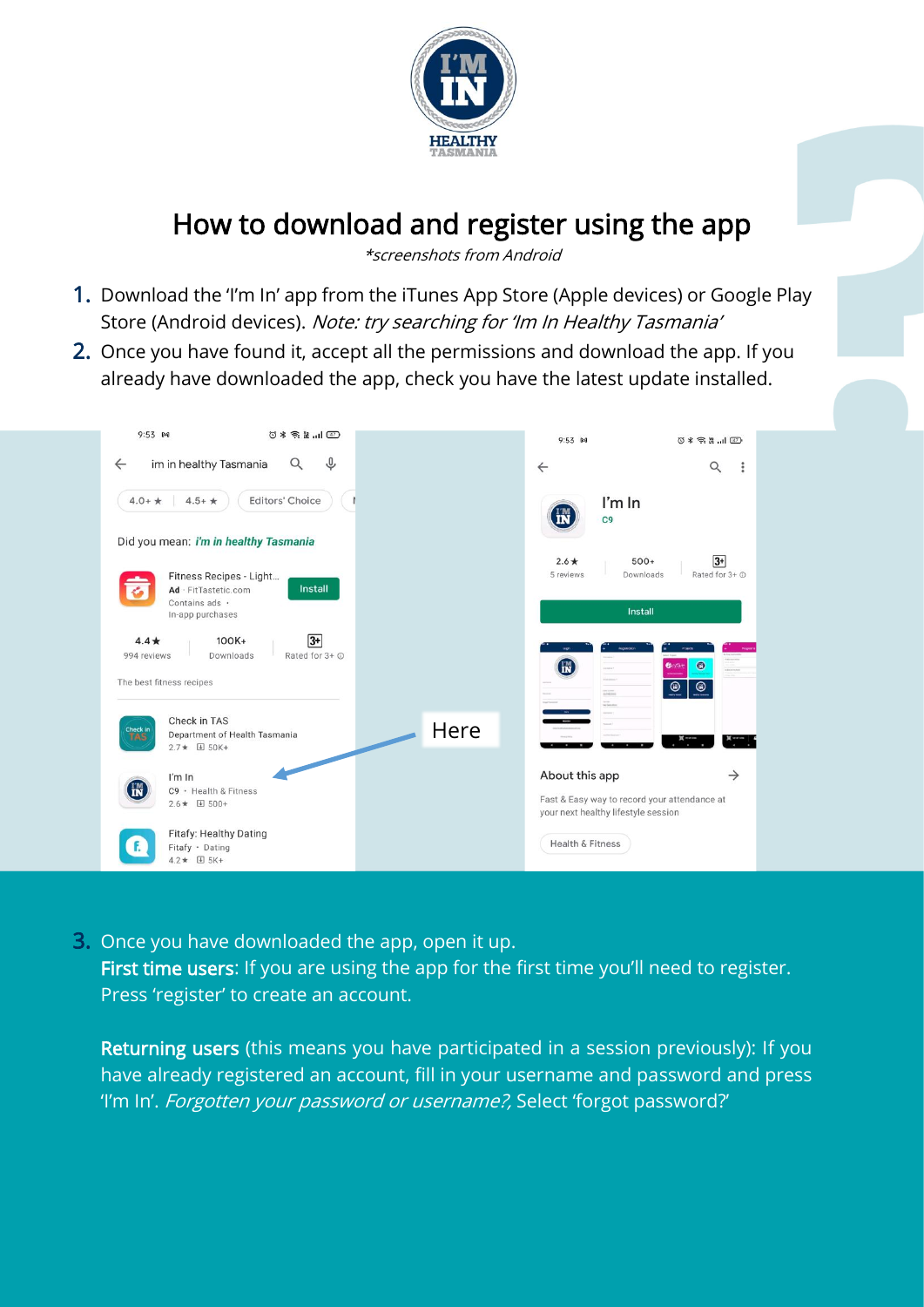

### How to download and register using the app

\*screenshots from Android

- 1. Download the 'I'm In' app from the iTunes App Store (Apple devices) or Google Play Store (Android devices). Note: try searching for 'Im In Healthy Tasmania'
- 2. Once you have found it, accept all the permissions and download the app. If you already have downloaded the app, check you have the latest update installed.



3. Once you have downloaded the app, open it up. First time users: If you are using the app for the first time you'll need to register. Press 'register' to create an account.

Returning users (this means you have participated in a session previously): If you have already registered an account, fill in your username and password and press 'I'm In'. Forgotten your password or username?, Select 'forgot password?'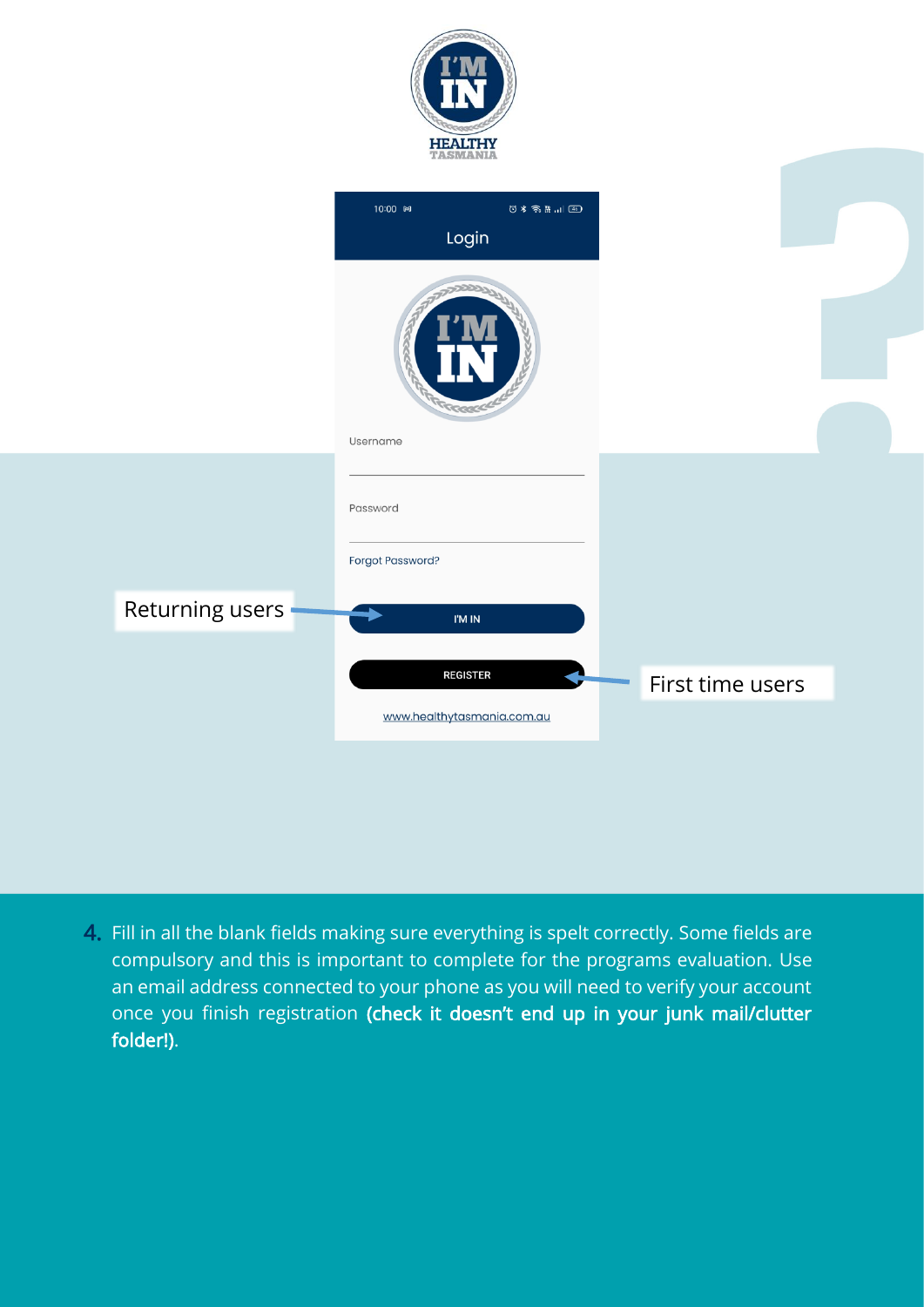|                   | <b>HEALTHY</b><br>TASMANIA                    |                  |  |
|-------------------|-----------------------------------------------|------------------|--|
|                   | 10:00 ₪<br>Login                              |                  |  |
|                   | TROOP<br>Username                             |                  |  |
|                   | Password<br>Forgot Password?                  |                  |  |
| Returning users - | I'M IN                                        |                  |  |
|                   | <b>REGISTER</b><br>www.healthytasmania.com.au | First time users |  |

4. Fill in all the blank fields making sure everything is spelt correctly. Some fields are compulsory and this is important to complete for the programs evaluation. Use an email address connected to your phone as you will need to verify your account once you finish registration (check it doesn't end up in your junk mail/clutter folder!).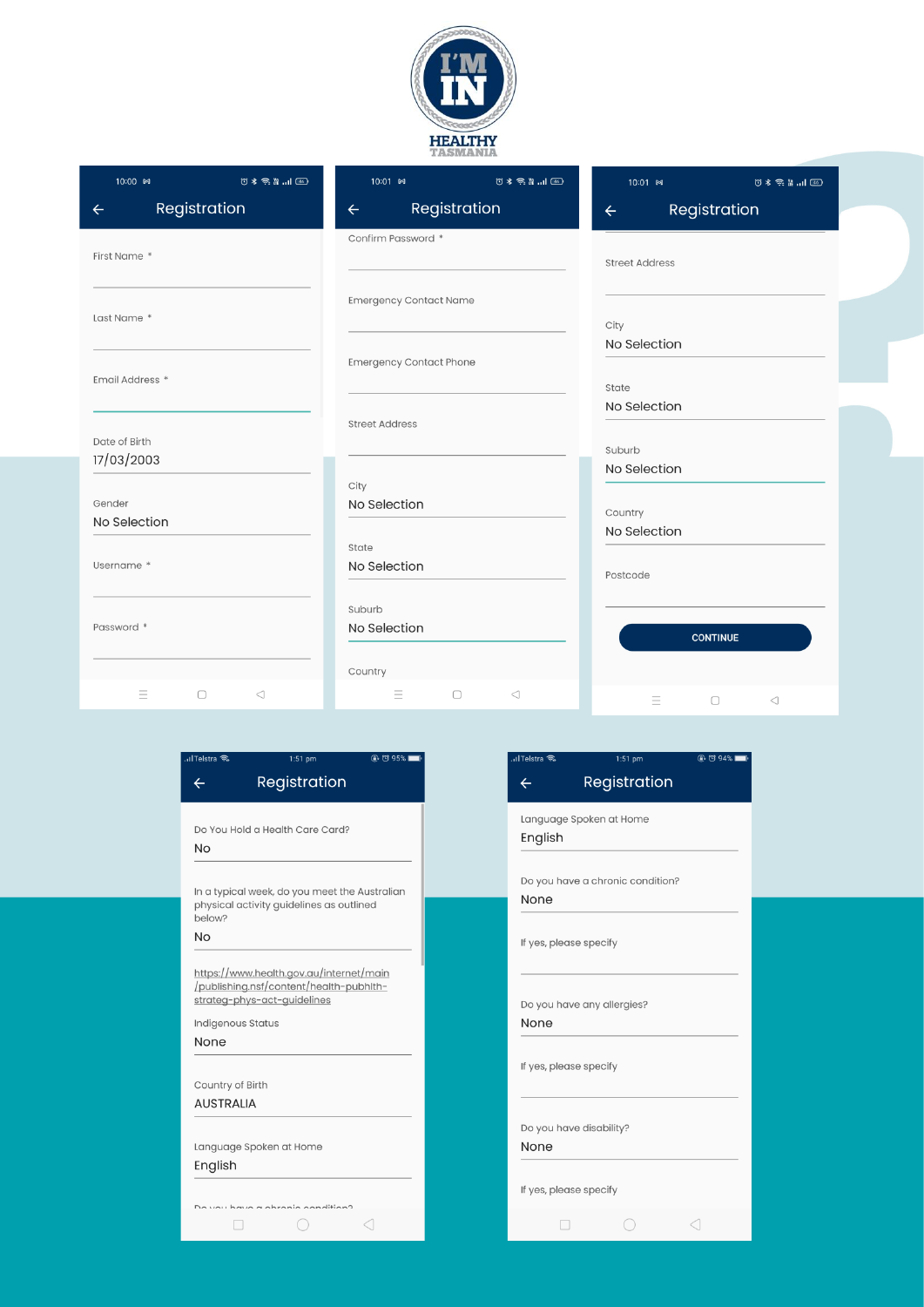

| 10:00 ₪<br>$\circledcirc$ in iii $\mathbb{R}$ $\approx$ $\circledcirc$ | 10:01 ₪<br>$\circledast \ast \mathrel{\widehat{\approx}} \mathrel{\mathop{\rm Re}\nolimits} \mathop{\mathop{\rm id}}\nolimits \mathop{\mathop{\rm ad}\nolimits}$ | 10:01 ₪<br>$0$ $\frac{1}{2}$ $\frac{1}{2}$ $\frac{1}{2}$ $\frac{1}{2}$ $\frac{1}{2}$ $\frac{1}{2}$ $\frac{1}{2}$ |
|------------------------------------------------------------------------|------------------------------------------------------------------------------------------------------------------------------------------------------------------|------------------------------------------------------------------------------------------------------------------|
| Registration<br>$\leftarrow$                                           | Registration<br>$\leftarrow$                                                                                                                                     | Registration<br>$\leftarrow$                                                                                     |
| First Name *                                                           | Confirm Password *                                                                                                                                               | <b>Street Address</b>                                                                                            |
| Last Name *                                                            | <b>Emergency Contact Name</b>                                                                                                                                    | City<br>No Selection                                                                                             |
| Email Address *                                                        | <b>Emergency Contact Phone</b>                                                                                                                                   | State                                                                                                            |
| Date of Birth                                                          | <b>Street Address</b>                                                                                                                                            | No Selection<br>Suburb                                                                                           |
| 17/03/2003                                                             | City                                                                                                                                                             | No Selection                                                                                                     |
| Gender<br>No Selection                                                 | No Selection                                                                                                                                                     | Country<br>No Selection                                                                                          |
| Username *                                                             | State<br>No Selection                                                                                                                                            | Postcode                                                                                                         |
| Password *                                                             | Suburb<br>No Selection                                                                                                                                           | <b>CONTINUE</b>                                                                                                  |
|                                                                        | Country                                                                                                                                                          |                                                                                                                  |
| Ξ<br>$\Box$<br>$\triangleleft$                                         | 三<br>$\Box$<br>$\triangleleft$                                                                                                                                   | Ξ<br>$\Box$<br>$\triangleleft$                                                                                   |

 $\frac{1}{2}$ 

| Registration<br>$\leftarrow$<br>Do You Hold a Health Care Card?<br><b>No</b><br>In a typical week, do you meet the Australian<br>physical activity guidelines as outlined<br>below?<br><b>No</b><br>https://www.health.gov.au/internet/main<br>/publishing.nsf/content/health-pubhlth-<br>strateg-phys-act-guidelines<br>Indigenous Status<br>None<br>Country of Birth<br><b>AUSTRALIA</b><br>Language Spoken at Home<br>English<br>Capition | <b>Il Telstra</b> る | $1:51$ pm | @.0395% |
|----------------------------------------------------------------------------------------------------------------------------------------------------------------------------------------------------------------------------------------------------------------------------------------------------------------------------------------------------------------------------------------------------------------------------------------------|---------------------|-----------|---------|
|                                                                                                                                                                                                                                                                                                                                                                                                                                              |                     |           |         |
|                                                                                                                                                                                                                                                                                                                                                                                                                                              |                     |           |         |
|                                                                                                                                                                                                                                                                                                                                                                                                                                              |                     |           |         |
|                                                                                                                                                                                                                                                                                                                                                                                                                                              |                     |           |         |
|                                                                                                                                                                                                                                                                                                                                                                                                                                              |                     |           |         |
|                                                                                                                                                                                                                                                                                                                                                                                                                                              |                     |           |         |
|                                                                                                                                                                                                                                                                                                                                                                                                                                              |                     |           |         |
|                                                                                                                                                                                                                                                                                                                                                                                                                                              |                     |           |         |
|                                                                                                                                                                                                                                                                                                                                                                                                                                              |                     |           |         |
|                                                                                                                                                                                                                                                                                                                                                                                                                                              |                     |           |         |
|                                                                                                                                                                                                                                                                                                                                                                                                                                              |                     |           |         |
|                                                                                                                                                                                                                                                                                                                                                                                                                                              |                     |           |         |
|                                                                                                                                                                                                                                                                                                                                                                                                                                              |                     |           |         |
|                                                                                                                                                                                                                                                                                                                                                                                                                                              |                     |           |         |
|                                                                                                                                                                                                                                                                                                                                                                                                                                              |                     |           |         |
|                                                                                                                                                                                                                                                                                                                                                                                                                                              |                     |           |         |
|                                                                                                                                                                                                                                                                                                                                                                                                                                              |                     |           |         |
|                                                                                                                                                                                                                                                                                                                                                                                                                                              |                     |           |         |

ľ

| <b>Il Telstra</b> へ              | 1:51 pm      | @ © 94% ■ |
|----------------------------------|--------------|-----------|
| $\leftarrow$                     | Registration |           |
|                                  |              |           |
| Language Spoken at Home          |              |           |
| English                          |              |           |
|                                  |              |           |
| Do you have a chronic condition? |              |           |
| None                             |              |           |
|                                  |              |           |
| If yes, please specify           |              |           |
|                                  |              |           |
| Do you have any allergies?       |              |           |
| None                             |              |           |
|                                  |              |           |
| If yes, please specify           |              |           |
|                                  |              |           |
|                                  |              |           |
| Do you have disability?          |              |           |
| None                             |              |           |
|                                  |              |           |
| If yes, please specify           |              |           |
|                                  |              |           |
|                                  |              |           |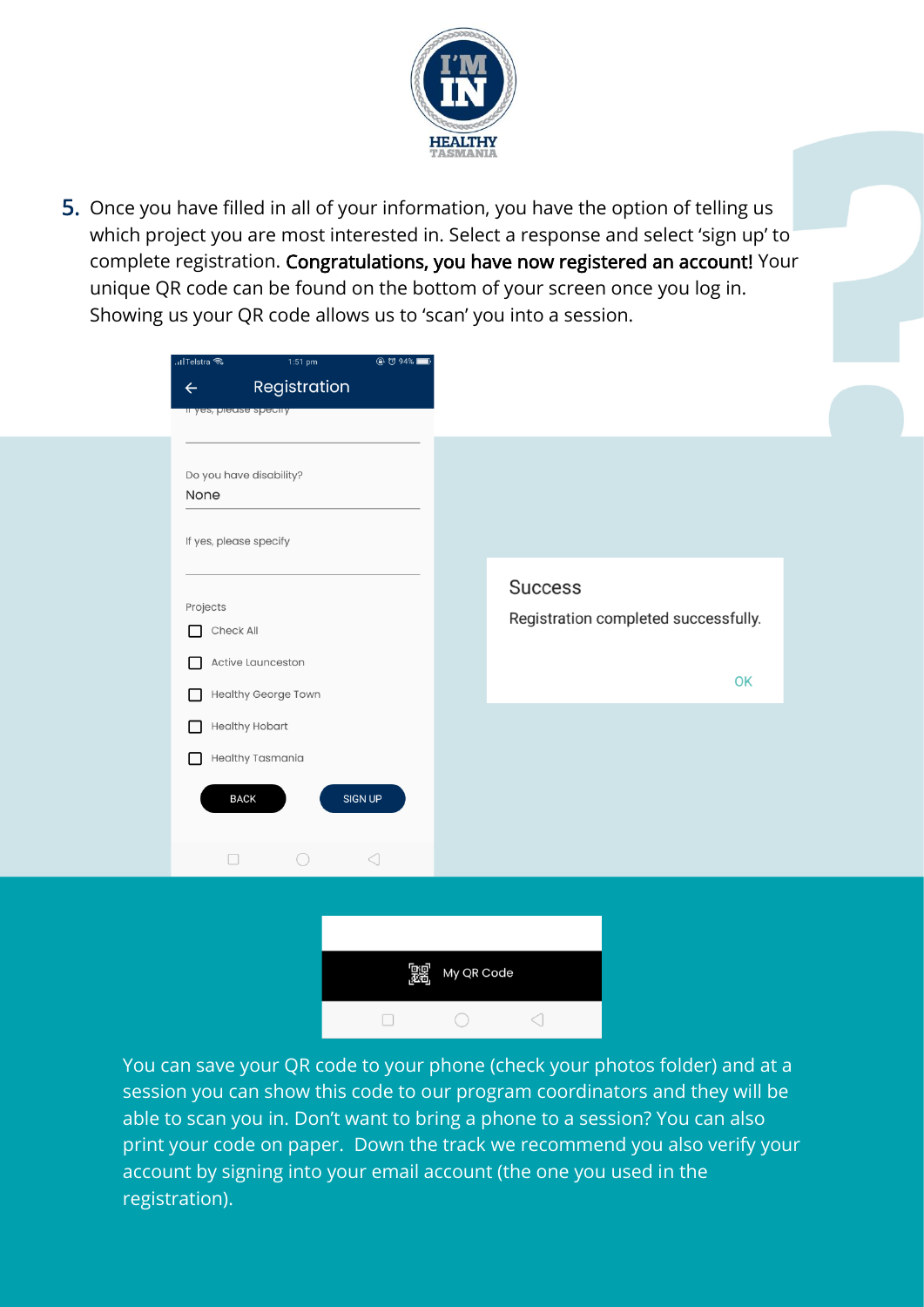

5. Once you have filled in all of your information, you have the option of telling us which project you are most interested in. Select a response and select 'sign up' to complete registration. Congratulations, you have now registered an account! Your unique QR code can be found on the bottom of your screen once you log in. Showing us your QR code allows us to 'scan' you into a session.

| ।।Telstra কি           | $1:51$ pm               | $@$ $@$ 94%     |                                      |    |
|------------------------|-------------------------|-----------------|--------------------------------------|----|
| $\leftarrow$           | Registration            |                 |                                      |    |
| Il yes, pieuse specify |                         |                 |                                      |    |
|                        |                         |                 |                                      |    |
|                        | Do you have disability? |                 |                                      |    |
| None                   |                         |                 |                                      |    |
| If yes, please specify |                         |                 |                                      |    |
|                        |                         |                 |                                      |    |
|                        |                         |                 | <b>Success</b>                       |    |
| Projects               |                         |                 | Registration completed successfully. |    |
| Check All<br>П         |                         |                 |                                      |    |
| П                      | Active Launceston       |                 |                                      | OK |
| □                      | Healthy George Town     |                 |                                      |    |
| П                      | <b>Healthy Hobart</b>   |                 |                                      |    |
| П                      | Healthy Tasmania        |                 |                                      |    |
|                        |                         | SIGN UP         |                                      |    |
| <b>BACK</b>            |                         |                 |                                      |    |
|                        |                         |                 |                                      |    |
| $\Box$                 | $\bigcirc$              | $\triangleleft$ |                                      |    |



You can save your QR code to your phone (check your photos folder) and at a session you can show this code to our program coordinators and they will be able to scan you in. Don't want to bring a phone to a session? You can also print your code on paper. Down the track we recommend you also verify your account by signing into your email account (the one you used in the registration).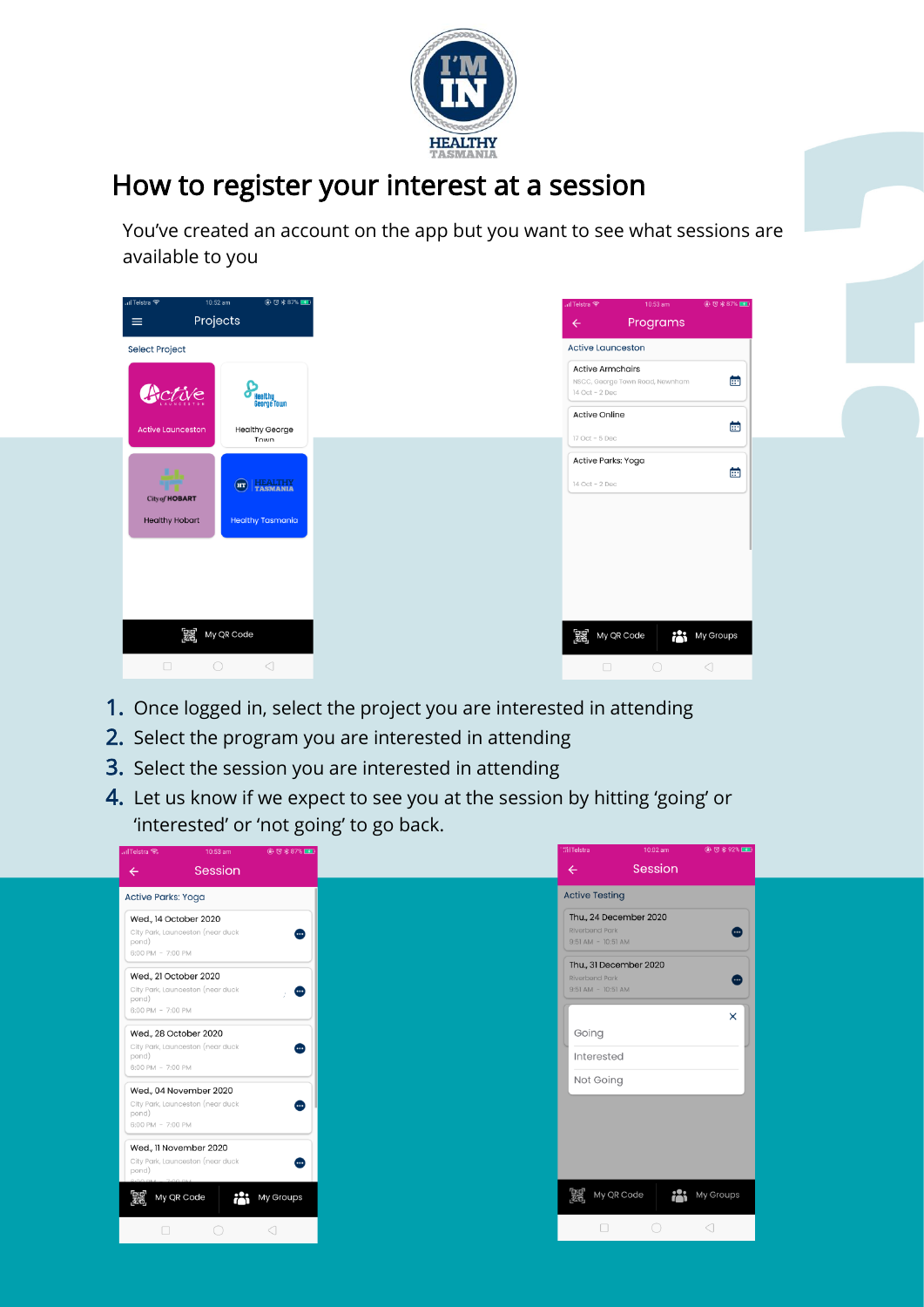

### How to register your interest at a session

You've created an account on the app but you want to see what sessions are available to you

| …ITelstra 全<br>$\equiv$  | 10:52 am<br><b>● で * 87%</b><br>Projects |  | .ilTelstra 全<br>$\leftarrow$              | 10:53 am<br>Programs            | @ 过老87%■        |
|--------------------------|------------------------------------------|--|-------------------------------------------|---------------------------------|-----------------|
| <b>Select Project</b>    |                                          |  | <b>Active Launceston</b>                  |                                 |                 |
| Active                   | <b>Seorge Town</b>                       |  | <b>Active Armchairs</b><br>14 Oct - 2 Dec | NSCC, George Town Road, Newnham | 曲               |
| <b>Active Launceston</b> | <b>Healthy George</b>                    |  | <b>Active Online</b>                      |                                 | 菌               |
|                          | Town                                     |  | 17 Oct - 5 Dec<br>Active Parks: Yoga      |                                 |                 |
| City of <b>HOBART</b>    | <b>HEALTHY</b><br>TASMANIA<br>$\bigodot$ |  | 14 Oct - 2 Dec                            |                                 | 菌               |
| <b>Healthy Hobart</b>    | <b>Healthy Tasmania</b>                  |  |                                           |                                 |                 |
|                          |                                          |  |                                           |                                 |                 |
|                          |                                          |  |                                           |                                 |                 |
| 露                        | My QR Code                               |  | <b>DEE</b> My QR Code                     | r                               | My Groups       |
| $\Box$                   | $\bigcirc$<br>$\triangleleft$            |  | $\Box$                                    | $\bigcirc$                      | $\triangleleft$ |

- 1. Once logged in, select the project you are interested in attending
- 2. Select the program you are interested in attending
- 3. Select the session you are interested in attending
- 4. Let us know if we expect to see you at the session by hitting 'going' or 'interested' or 'not going' to go back.

| <b>alTelstra 全</b>         | 10:53 am                                                   | <b>@ 过米87%■■</b> |  |  | <b>MITelstra</b>                                | 10:02 am               |                 | <b>AD 78 4 92% ■■</b> |
|----------------------------|------------------------------------------------------------|------------------|--|--|-------------------------------------------------|------------------------|-----------------|-----------------------|
| $\leftarrow$               | Session                                                    |                  |  |  | $\leftarrow$                                    | Session                |                 |                       |
| <b>Active Parks: Yoga</b>  |                                                            |                  |  |  | <b>Active Testing</b>                           |                        |                 |                       |
| pond)<br>6:00 PM - 7:00 PM | Wed., 14 October 2020<br>City Park, Launceston (near duck  | ⊕                |  |  | <b>Riverbend Park</b><br>$9:51$ AM - $10:51$ AM | Thu., 24 December 2020 |                 |                       |
| pond)<br>6:00 PM - 7:00 PM | Wed., 21 October 2020<br>City Park, Launceston (near duck  |                  |  |  | <b>Riverbend Park</b><br>$9:51$ AM - $10:51$ AM | Thu., 31 December 2020 |                 |                       |
| pond)<br>6:00 PM - 7:00 PM | Wed., 28 October 2020<br>City Park, Launceston (near duck  | œ                |  |  | Going<br>Interested                             |                        |                 | $\times$              |
| pond)<br>6:00 PM - 7:00 PM | Wed., 04 November 2020<br>City Park, Launceston (near duck | )                |  |  | Not Going                                       |                        |                 |                       |
| pond)                      | Wed., 11 November 2020<br>City Park, Launceston (near duck | ▥                |  |  |                                                 |                        |                 |                       |
| 麗                          | My QR Code<br>ቶየ                                           | My Groups        |  |  | [题 My QR Code                                   |                        | i i             | My Groups             |
| $\Box$                     |                                                            | ◁                |  |  | Ω                                               | $\bigcirc$             | $\triangleleft$ |                       |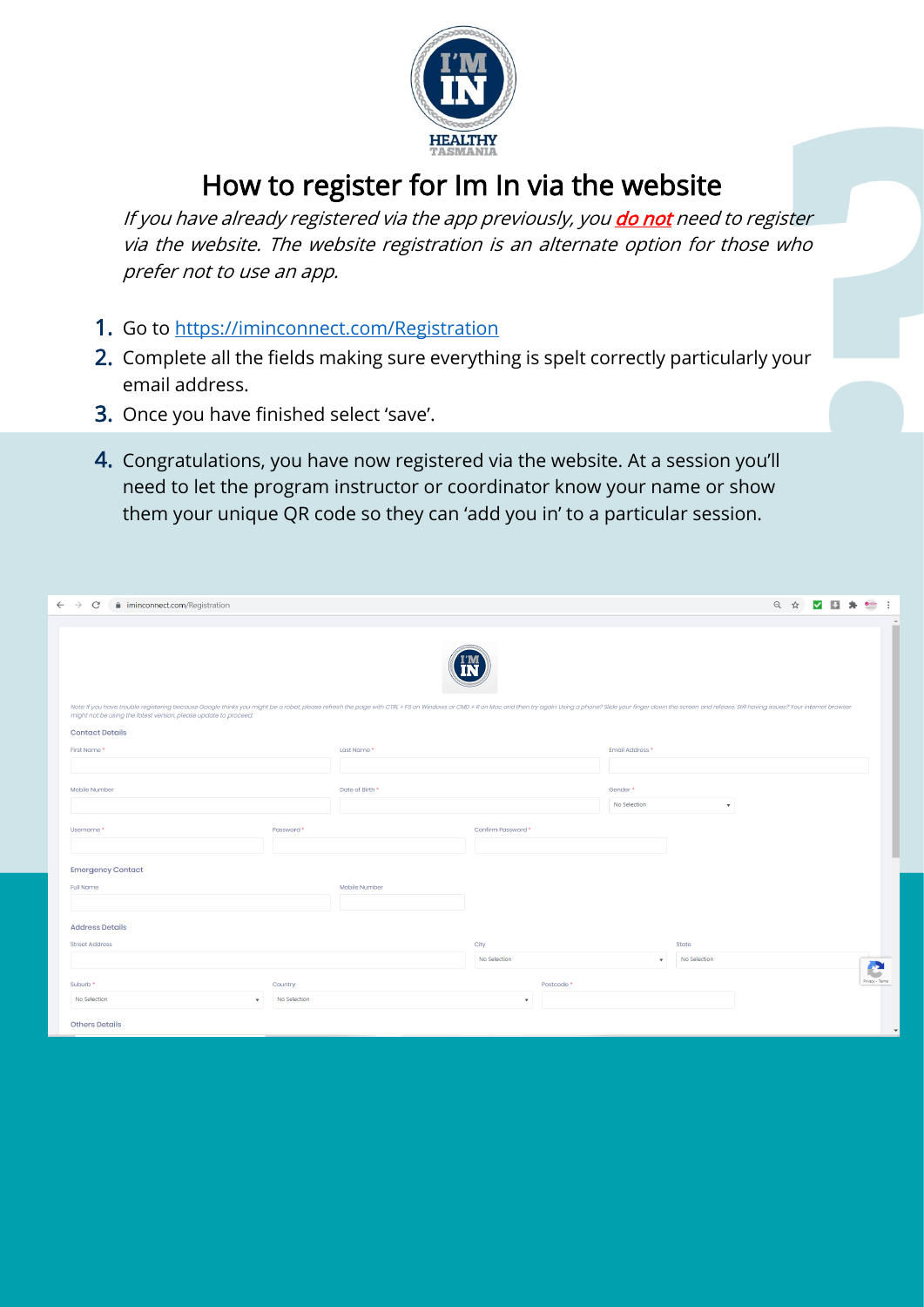

#### How to register for Im In via the website

If you have already registered via the app previously, you *do not need to register* via the website. The website registration is an alternate option for those who prefer not to use an app.

- 1. Go to<https://iminconnect.com/Registration>
- 2. Complete all the fields making sure everything is spelt correctly particularly your email address.
- 3. Once you have finished select 'save'.
- 4. Congratulations, you have now registered via the website. At a session you'll need to let the program instructor or coordinator know your name or show them your unique QR code so they can 'add you in' to a particular session.

| $\leftarrow$ $\rightarrow$ C<br>iminconnect.com/Registration                                                                                                                                                                                                                                       |                 |                       |                 | ◎ ☆<br>區     | Gerae<br>$\cdot$ :       |
|----------------------------------------------------------------------------------------------------------------------------------------------------------------------------------------------------------------------------------------------------------------------------------------------------|-----------------|-----------------------|-----------------|--------------|--------------------------|
| Note: If you have trouble registering because Google thinks you might be a robot, please refresh the page with CTRL + F5 on Windows or CMD + R on Mac and then try again. Using a phone? Slide your finger down the screen and<br>might not be using the latest version, please update to proceed. |                 |                       |                 |              | $\Delta$                 |
| <b>Contact Details</b>                                                                                                                                                                                                                                                                             |                 |                       |                 |              |                          |
| First Name*                                                                                                                                                                                                                                                                                        | Last Name*      |                       | Email Address * |              |                          |
|                                                                                                                                                                                                                                                                                                    |                 |                       |                 |              |                          |
| Mobile Number                                                                                                                                                                                                                                                                                      | Date of Birth * |                       | Gender*         |              |                          |
|                                                                                                                                                                                                                                                                                                    |                 |                       | No Selection    | ۰            |                          |
| Username*<br>Password <sup>+</sup>                                                                                                                                                                                                                                                                 |                 | Confirm Password *    |                 |              |                          |
|                                                                                                                                                                                                                                                                                                    |                 |                       |                 |              |                          |
| <b>Emergency Contact</b>                                                                                                                                                                                                                                                                           |                 |                       |                 |              |                          |
| <b>Full Name</b>                                                                                                                                                                                                                                                                                   | Mobile Number   |                       |                 |              |                          |
|                                                                                                                                                                                                                                                                                                    |                 |                       |                 |              |                          |
| <b>Address Details</b>                                                                                                                                                                                                                                                                             |                 |                       |                 |              |                          |
| <b>Street Address</b>                                                                                                                                                                                                                                                                              |                 | City                  |                 | State        |                          |
|                                                                                                                                                                                                                                                                                                    |                 | No Selection          | ٠               | No Selection | A.                       |
| Suburb <sup>*</sup><br>Country                                                                                                                                                                                                                                                                     |                 | Postcode <sup>*</sup> |                 |              | ◡<br>Privacy - Terms     |
| No Selection<br>No Selection<br>$\mathbf{v}$                                                                                                                                                                                                                                                       |                 | $\mathbf{v}$          |                 |              |                          |
| <b>Others Details</b>                                                                                                                                                                                                                                                                              |                 |                       |                 |              | $\overline{\phantom{a}}$ |